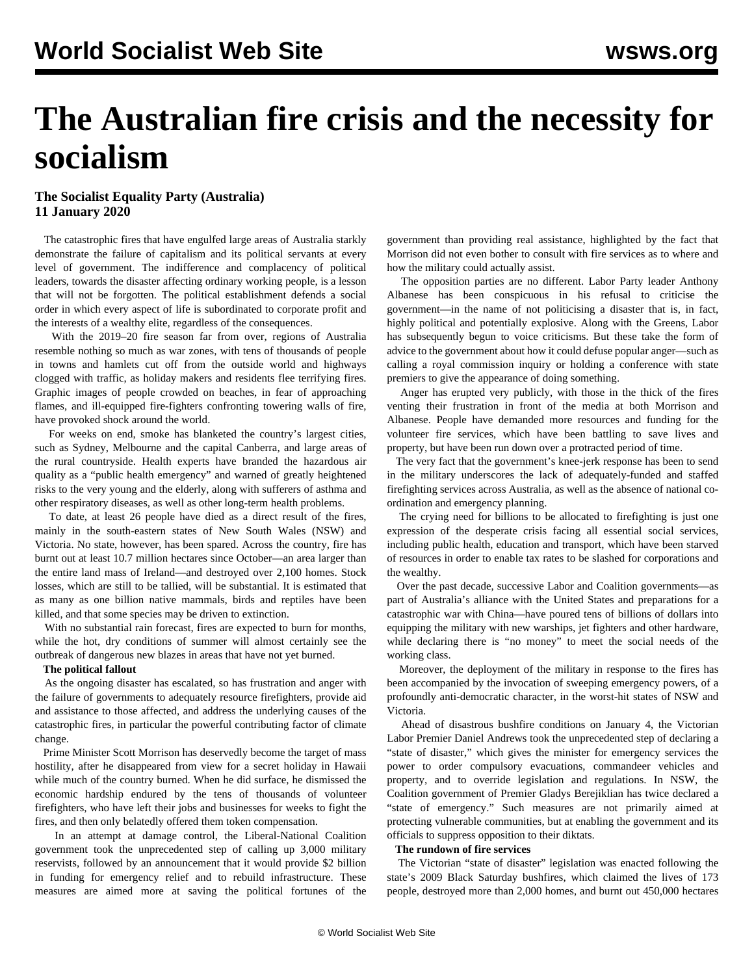# **The Australian fire crisis and the necessity for socialism**

### **The Socialist Equality Party (Australia) 11 January 2020**

 The catastrophic fires that have engulfed large areas of Australia starkly demonstrate the failure of capitalism and its political servants at every level of government. The indifference and complacency of political leaders, towards the disaster affecting ordinary working people, is a lesson that will not be forgotten. The political establishment defends a social order in which every aspect of life is subordinated to corporate profit and the interests of a wealthy elite, regardless of the consequences.

 With the 2019–20 fire season far from over, regions of Australia resemble nothing so much as war zones, with tens of thousands of people in towns and hamlets cut off from the outside world and highways clogged with traffic, as holiday makers and residents flee terrifying fires. Graphic images of people crowded on beaches, in fear of approaching flames, and ill-equipped fire-fighters confronting towering walls of fire, have provoked shock around the world.

 For weeks on end, smoke has blanketed the country's largest cities, such as Sydney, Melbourne and the capital Canberra, and large areas of the rural countryside. Health experts have branded the hazardous air quality as a "public health emergency" and warned of greatly heightened risks to the very young and the elderly, along with sufferers of asthma and other respiratory diseases, as well as other long-term health problems.

 To date, at least 26 people have died as a direct result of the fires, mainly in the south-eastern states of New South Wales (NSW) and Victoria. No state, however, has been spared. Across the country, fire has burnt out at least 10.7 million hectares since October—an area larger than the entire land mass of Ireland—and destroyed over 2,100 homes. Stock losses, which are still to be tallied, will be substantial. It is estimated that as many as one billion native mammals, birds and reptiles have been killed, and that some species may be driven to extinction.

 With no substantial rain forecast, fires are expected to burn for months, while the hot, dry conditions of summer will almost certainly see the outbreak of dangerous new blazes in areas that have not yet burned.

#### **The political fallout**

 As the ongoing disaster has escalated, so has frustration and anger with the failure of governments to adequately resource firefighters, provide aid and assistance to those affected, and address the underlying causes of the catastrophic fires, in particular the powerful contributing factor of climate change.

 Prime Minister Scott Morrison has deservedly become the target of mass hostility, after he disappeared from view for a secret holiday in Hawaii while much of the country burned. When he did surface, he dismissed the economic hardship endured by the tens of thousands of volunteer firefighters, who have left their jobs and businesses for weeks to fight the fires, and then only belatedly offered them token compensation.

 In an attempt at damage control, the Liberal-National Coalition government took the unprecedented step of calling up 3,000 military reservists, followed by an announcement that it would provide \$2 billion in funding for emergency relief and to rebuild infrastructure. These measures are aimed more at saving the political fortunes of the

government than providing real assistance, highlighted by the fact that Morrison did not even bother to consult with fire services as to where and how the military could actually assist.

 The opposition parties are no different. Labor Party leader Anthony Albanese has been conspicuous in his refusal to criticise the government—in the name of not politicising a disaster that is, in fact, highly political and potentially explosive. Along with the Greens, Labor has subsequently begun to voice criticisms. But these take the form of advice to the government about how it could defuse popular anger—such as calling a royal commission inquiry or holding a conference with state premiers to give the appearance of doing something.

 Anger has erupted very publicly, with those in the thick of the fires venting their frustration in front of the media at both Morrison and Albanese. People have demanded more resources and funding for the volunteer fire services, which have been battling to save lives and property, but have been run down over a protracted period of time.

 The very fact that the government's knee-jerk response has been to send in the military underscores the lack of adequately-funded and staffed firefighting services across Australia, as well as the absence of national coordination and emergency planning.

 The crying need for billions to be allocated to firefighting is just one expression of the desperate crisis facing all essential social services, including public health, education and transport, which have been starved of resources in order to enable tax rates to be slashed for corporations and the wealthy.

 Over the past decade, successive Labor and Coalition governments—as part of Australia's alliance with the United States and preparations for a catastrophic war with China—have poured tens of billions of dollars into equipping the military with new warships, jet fighters and other hardware, while declaring there is "no money" to meet the social needs of the working class.

 Moreover, the deployment of the military in response to the fires has been accompanied by the invocation of sweeping emergency powers, of a profoundly anti-democratic character, in the worst-hit states of NSW and Victoria.

 Ahead of disastrous bushfire conditions on January 4, the Victorian Labor Premier Daniel Andrews took the unprecedented step of declaring a "state of disaster," which gives the minister for emergency services the power to order compulsory evacuations, commandeer vehicles and property, and to override legislation and regulations. In NSW, the Coalition government of Premier Gladys Berejiklian has twice declared a "state of emergency." Such measures are not primarily aimed at protecting vulnerable communities, but at enabling the government and its officials to suppress opposition to their diktats.

#### **The rundown of fire services**

 The Victorian "state of disaster" legislation was enacted following the state's 2009 Black Saturday bushfires, which claimed the lives of 173 people, destroyed more than 2,000 homes, and burnt out 450,000 hectares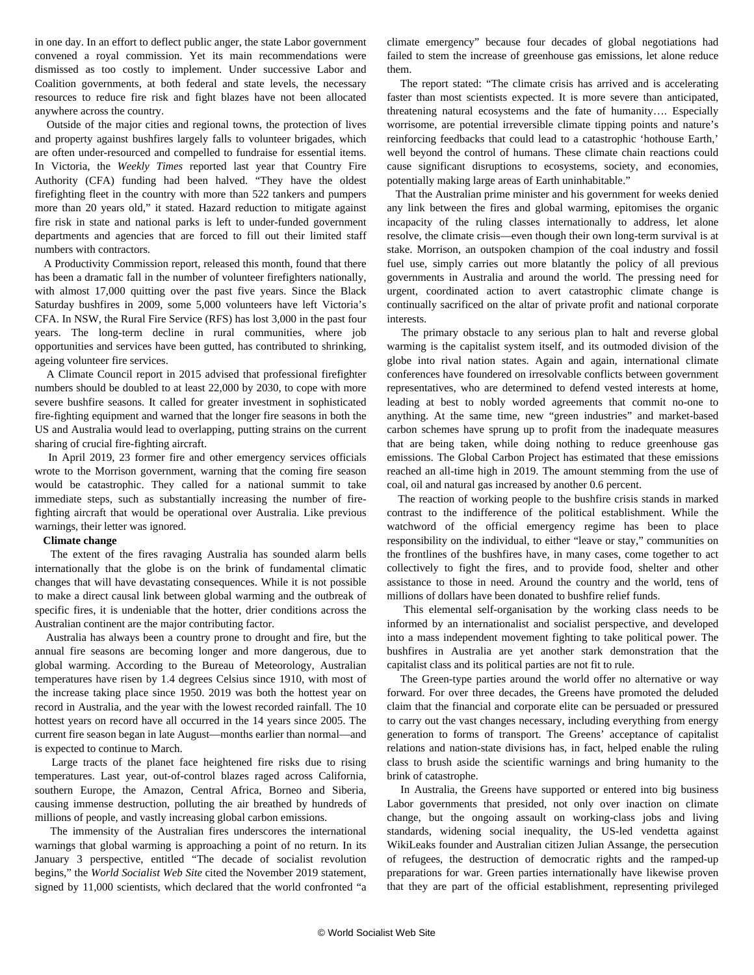in one day. In an effort to deflect public anger, the state Labor government convened a royal commission. Yet its main recommendations were dismissed as too costly to implement. Under successive Labor and Coalition governments, at both federal and state levels, the necessary resources to reduce fire risk and fight blazes have not been allocated anywhere across the country.

 Outside of the major cities and regional towns, the protection of lives and property against bushfires largely falls to volunteer brigades, which are often under-resourced and compelled to fundraise for essential items. In Victoria, the *Weekly Times* reported last year that Country Fire Authority (CFA) funding had been halved. "They have the oldest firefighting fleet in the country with more than 522 tankers and pumpers more than 20 years old," it stated. Hazard reduction to mitigate against fire risk in state and national parks is left to under-funded government departments and agencies that are forced to fill out their limited staff numbers with contractors.

 A Productivity Commission report, released this month, found that there has been a dramatic fall in the number of volunteer firefighters nationally, with almost 17,000 quitting over the past five years. Since the Black Saturday bushfires in 2009, some 5,000 volunteers have left Victoria's CFA. In NSW, the Rural Fire Service (RFS) has lost 3,000 in the past four years. The long-term decline in rural communities, where job opportunities and services have been gutted, has contributed to shrinking, ageing volunteer fire services.

 A Climate Council report in 2015 advised that professional firefighter numbers should be doubled to at least 22,000 by 2030, to cope with more severe bushfire seasons. It called for greater investment in sophisticated fire-fighting equipment and warned that the longer fire seasons in both the US and Australia would lead to overlapping, putting strains on the current sharing of crucial fire-fighting aircraft.

 In April 2019, 23 former fire and other emergency services officials wrote to the Morrison government, warning that the coming fire season would be catastrophic. They called for a national summit to take immediate steps, such as substantially increasing the number of firefighting aircraft that would be operational over Australia. Like previous warnings, their letter was ignored.

#### **Climate change**

 The extent of the fires ravaging Australia has sounded alarm bells internationally that the globe is on the brink of fundamental climatic changes that will have devastating consequences. While it is not possible to make a direct causal link between global warming and the outbreak of specific fires, it is undeniable that the hotter, drier conditions across the Australian continent are the major contributing factor.

 Australia has always been a country prone to drought and fire, but the annual fire seasons are becoming longer and more dangerous, due to global warming. According to the Bureau of Meteorology, Australian temperatures have risen by 1.4 degrees Celsius since 1910, with most of the increase taking place since 1950. 2019 was both the hottest year on record in Australia, and the year with the lowest recorded rainfall. The 10 hottest years on record have all occurred in the 14 years since 2005. The current fire season began in late August—months earlier than normal—and is expected to continue to March.

 Large tracts of the planet face heightened fire risks due to rising temperatures. Last year, out-of-control blazes raged across California, southern Europe, the Amazon, Central Africa, Borneo and Siberia, causing immense destruction, polluting the air breathed by hundreds of millions of people, and vastly increasing global carbon emissions.

 The immensity of the Australian fires underscores the international warnings that global warming is approaching a point of no return. In its January 3 perspective, entitled "The decade of socialist revolution begins," the *World Socialist Web Site* cited the November 2019 statement, signed by 11,000 scientists, which declared that the world confronted "a

climate emergency" because four decades of global negotiations had failed to stem the increase of greenhouse gas emissions, let alone reduce them.

 The report stated: "The climate crisis has arrived and is accelerating faster than most scientists expected. It is more severe than anticipated, threatening natural ecosystems and the fate of humanity…. Especially worrisome, are potential irreversible climate tipping points and nature's reinforcing feedbacks that could lead to a catastrophic 'hothouse Earth,' well beyond the control of humans. These climate chain reactions could cause significant disruptions to ecosystems, society, and economies, potentially making large areas of Earth uninhabitable."

 That the Australian prime minister and his government for weeks denied any link between the fires and global warming, epitomises the organic incapacity of the ruling classes internationally to address, let alone resolve, the climate crisis—even though their own long-term survival is at stake. Morrison, an outspoken champion of the coal industry and fossil fuel use, simply carries out more blatantly the policy of all previous governments in Australia and around the world. The pressing need for urgent, coordinated action to avert catastrophic climate change is continually sacrificed on the altar of private profit and national corporate interests.

 The primary obstacle to any serious plan to halt and reverse global warming is the capitalist system itself, and its outmoded division of the globe into rival nation states. Again and again, international climate conferences have foundered on irresolvable conflicts between government representatives, who are determined to defend vested interests at home, leading at best to nobly worded agreements that commit no-one to anything. At the same time, new "green industries" and market-based carbon schemes have sprung up to profit from the inadequate measures that are being taken, while doing nothing to reduce greenhouse gas emissions. The Global Carbon Project has estimated that these emissions reached an all-time high in 2019. The amount stemming from the use of coal, oil and natural gas increased by another 0.6 percent.

 The reaction of working people to the bushfire crisis stands in marked contrast to the indifference of the political establishment. While the watchword of the official emergency regime has been to place responsibility on the individual, to either "leave or stay," communities on the frontlines of the bushfires have, in many cases, come together to act collectively to fight the fires, and to provide food, shelter and other assistance to those in need. Around the country and the world, tens of millions of dollars have been donated to bushfire relief funds.

 This elemental self-organisation by the working class needs to be informed by an internationalist and socialist perspective, and developed into a mass independent movement fighting to take political power. The bushfires in Australia are yet another stark demonstration that the capitalist class and its political parties are not fit to rule.

 The Green-type parties around the world offer no alternative or way forward. For over three decades, the Greens have promoted the deluded claim that the financial and corporate elite can be persuaded or pressured to carry out the vast changes necessary, including everything from energy generation to forms of transport. The Greens' acceptance of capitalist relations and nation-state divisions has, in fact, helped enable the ruling class to brush aside the scientific warnings and bring humanity to the brink of catastrophe.

 In Australia, the Greens have supported or entered into big business Labor governments that presided, not only over inaction on climate change, but the ongoing assault on working-class jobs and living standards, widening social inequality, the US-led vendetta against WikiLeaks founder and Australian citizen Julian Assange, the persecution of refugees, the destruction of democratic rights and the ramped-up preparations for war. Green parties internationally have likewise proven that they are part of the official establishment, representing privileged